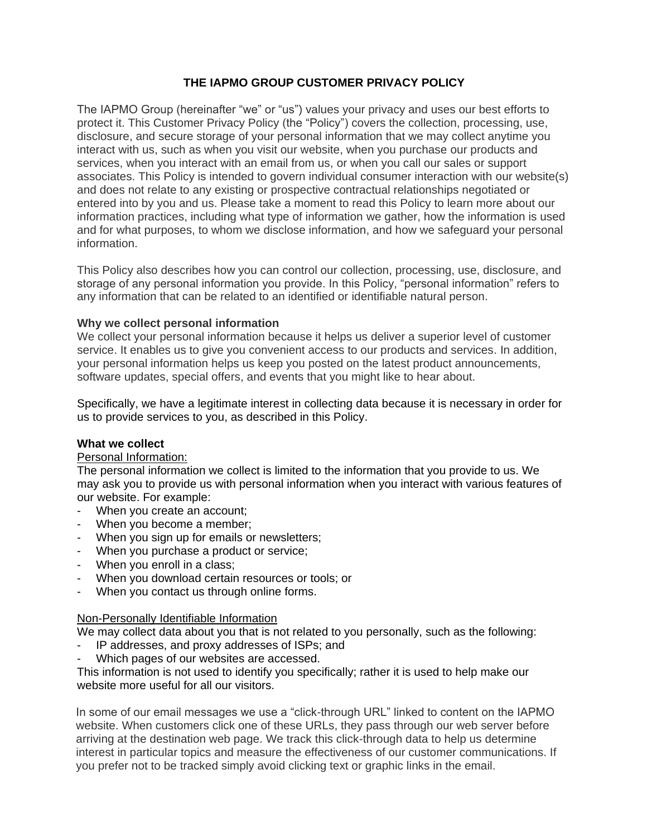# **THE IAPMO GROUP CUSTOMER PRIVACY POLICY**

The IAPMO Group (hereinafter "we" or "us") values your privacy and uses our best efforts to protect it. This Customer Privacy Policy (the "Policy") covers the collection, processing, use, disclosure, and secure storage of your personal information that we may collect anytime you interact with us, such as when you visit our website, when you purchase our products and services, when you interact with an email from us, or when you call our sales or support associates. This Policy is intended to govern individual consumer interaction with our website(s) and does not relate to any existing or prospective contractual relationships negotiated or entered into by you and us. Please take a moment to read this Policy to learn more about our information practices, including what type of information we gather, how the information is used and for what purposes, to whom we disclose information, and how we safeguard your personal information.

This Policy also describes how you can control our collection, processing, use, disclosure, and storage of any personal information you provide. In this Policy, "personal information" refers to any information that can be related to an identified or identifiable natural person.

## **Why we collect personal information**

We collect your personal information because it helps us deliver a superior level of customer service. It enables us to give you convenient access to our products and services. In addition, your personal information helps us keep you posted on the latest product announcements, software updates, special offers, and events that you might like to hear about.

Specifically, we have a legitimate interest in collecting data because it is necessary in order for us to provide services to you, as described in this Policy.

#### **What we collect**

#### Personal Information:

The personal information we collect is limited to the information that you provide to us. We may ask you to provide us with personal information when you interact with various features of our website. For example:

- When you create an account;
- When you become a member;
- When you sign up for emails or newsletters;
- When you purchase a product or service;
- When you enroll in a class;
- When you download certain resources or tools; or
- When you contact us through online forms.

#### Non-Personally Identifiable Information

We may collect data about you that is not related to you personally, such as the following:

- IP addresses, and proxy addresses of ISPs; and
- Which pages of our websites are accessed.

This information is not used to identify you specifically; rather it is used to help make our website more useful for all our visitors.

In some of our email messages we use a "click-through URL" linked to content on the IAPMO website. When customers click one of these URLs, they pass through our web server before arriving at the destination web page. We track this click-through data to help us determine interest in particular topics and measure the effectiveness of our customer communications. If you prefer not to be tracked simply avoid clicking text or graphic links in the email.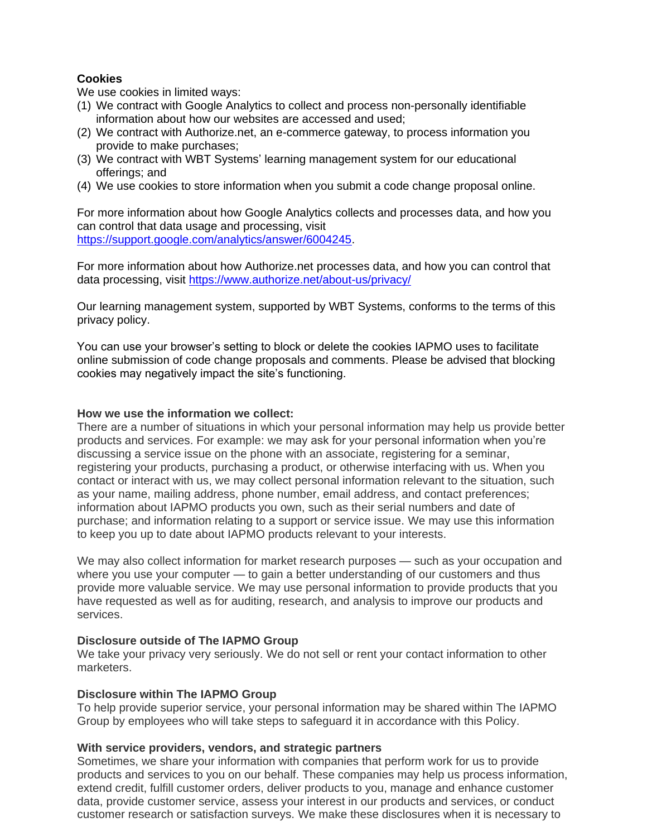# **Cookies**

We use cookies in limited ways:

- (1) We contract with Google Analytics to collect and process non-personally identifiable information about how our websites are accessed and used;
- (2) We contract with Authorize.net, an e-commerce gateway, to process information you provide to make purchases;
- (3) We contract with WBT Systems' learning management system for our educational offerings; and
- (4) We use cookies to store information when you submit a code change proposal online.

For more information about how Google Analytics collects and processes data, and how you can control that data usage and processing, visit [https://support.google.com/analytics/answer/6004245.](https://support.google.com/analytics/answer/6004245)

For more information about how Authorize.net processes data, and how you can control that data processing, visit<https://www.authorize.net/about-us/privacy/>

Our learning management system, supported by WBT Systems, conforms to the terms of this privacy policy.

You can use your browser's setting to block or delete the cookies IAPMO uses to facilitate online submission of code change proposals and comments. Please be advised that blocking cookies may negatively impact the site's functioning.

#### **How we use the information we collect:**

There are a number of situations in which your personal information may help us provide better products and services. For example: we may ask for your personal information when you're discussing a service issue on the phone with an associate, registering for a seminar, registering your products, purchasing a product, or otherwise interfacing with us. When you contact or interact with us, we may collect personal information relevant to the situation, such as your name, mailing address, phone number, email address, and contact preferences; information about IAPMO products you own, such as their serial numbers and date of purchase; and information relating to a support or service issue. We may use this information to keep you up to date about IAPMO products relevant to your interests.

We may also collect information for market research purposes — such as your occupation and where you use your computer — to gain a better understanding of our customers and thus provide more valuable service. We may use personal information to provide products that you have requested as well as for auditing, research, and analysis to improve our products and services.

## **Disclosure outside of The IAPMO Group**

We take your privacy very seriously. We do not sell or rent your contact information to other marketers.

#### **Disclosure within The IAPMO Group**

To help provide superior service, your personal information may be shared within The IAPMO Group by employees who will take steps to safeguard it in accordance with this Policy.

#### **With service providers, vendors, and strategic partners**

Sometimes, we share your information with companies that perform work for us to provide products and services to you on our behalf. These companies may help us process information, extend credit, fulfill customer orders, deliver products to you, manage and enhance customer data, provide customer service, assess your interest in our products and services, or conduct customer research or satisfaction surveys. We make these disclosures when it is necessary to